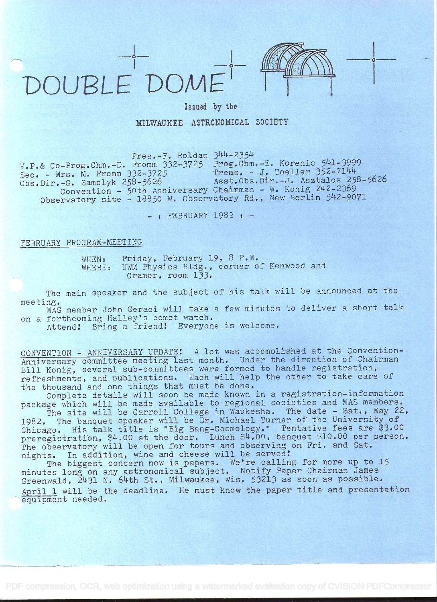



## Issued by the MILWAUKEE ASTRONOMICAL SOCIETY

 $Press.-F.$  Roldan  $344-2354$ 

 $T.P.$ & Co-Prog.Chm.-D. Fromm  $332-3725$  Prog.Chm.-E. Korenic  $541-3999$  $Sec. - Mrs. M. From  $332-3725$$ Obs.Dir.-G. Samolyk 258-5626 Convention - 50th Anniversary Chairman - W. Konig 242-2369<br>Observatory site - 18850 W. Observatory Rd., New Berlin 542-9071  $T$ reas. - J. Toeller  $352-7144$ Asst.Obs.Dir.-J. Asztalos 258-5626 Convention - 50th Anniversary Chairman - W. Konig 242-2369

- : FEBRUARY 1982 : -

## FSBRUARY PROGRAM-MEETING

WHEN: Friday, February 19, 8 P.M.<br>WHERE: UWM Physics Bldg., corner o UWM Physics Bldg., corner of Kenwood and Cramer, room 133.

The main speaker and the subject of his talk will be announced at the meeting.

MAS member John Geraci will take a few minutes to deliver a short talk on a forthcoming Halley's comet watch.

Attend! Bring a friend! Everyone is welcome.

CONVENTION - ANNIVERSARY UPDATE! A lot was accomplished at the Convention-CONVENTION - ANNIVERSARI OFDAIL. A 100 was accomprisied at the convention Anniversary committee meeting fast month. Onder the direction of ondfinant<br>Bill Konig, several sub-committees were formed to handle registration,<br>refreshments, and publications. Each will help the other to take care of refreshments, and publications. Each will help the other to take care of the thousand and one things that must be done.

Complete details will soon be made known in a registration-information package which will be made available to regional societies and MAS members.

The site will be Carroll College in Waukesha. The date - Sat., May 22, 1982. The banquet speaker will be Dr. Michael Turner of the University of 1982. The banquet speaker will be Dr. Michael furner of the University of<br>Chicago. His talk title is "Big Bang-Cosmology." Tentative fees are \$3.00 preregistration, \$4.00 at the door. Lunch \$4.00, banquet \$10.00 per person. The observatory will be open for tours and observing on Fri. and Sat. nights. In addition, wine and cheese will be served!

The biggest concern now is papers. We're calling for more up to <sup>15</sup> minutes long on any astronomical subject. Notify Paper Chairman James Greenwald, 2431 N. 64th St., Milwaukee, Wis. 53213 as soon as possible. April 1 will be the deadline. He must know the paper title and presentation equipment needed.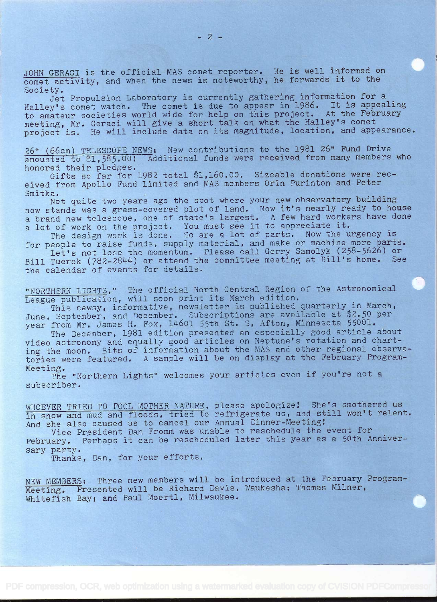JOHN GERACI is the official MAS comet reporter. He is well informed on comet activity, and when the news is noteworthy, he forwards it to the Society.

Jet Propulsion Laboratory is currently gathering information for <sup>a</sup> Halley's comet watch. The comet is due to appear in 1986. It is appealing to amateur societies world wide for help on this project. At the February meeting, Mr. Geraci will give a short talk on what the Halley's comet project is. He will include data on its magnitude, location, and appearance.

26" (66cm) TELESCOPE NEWS: New contributions to the 1981 26" Fund Drive amounted to \$1,585.00! Additional funds were received from many members who honored their pledges.

Gifts so far for 1982 total \$1,160.00. Sizeable donations were received from Apollo Fund Limited and MAS members Orín Purinton and Peter Smitka.

Not quite two years ago the spot where your new observatory building now stands was a grass-covered plot of land, Now it's nearly ready to house <sup>a</sup>brand new telescope, one of state's largest. A few hard workers have done a lot of work on the project. You must see it to appreciate it.

The design work is done. So are a lot of parts. Now the urgency is for people to raise funds, supply material, and make or machine more parts. Let's not lose the momentum. Please call Gerry Samolyk (258-5626) or

Bill Tuerck (782-2844) or attend the committee meeting at Bill's home. See the calendar cf events for details.

"NORTHERN LIGHTS," The official North Centrai Region of the Astronomical League publication, will soon print its March edition.

This newsy, informative, newsletter is published quarterly in March, June, September, and December. Subscriptions are available at \$2.50 per year from Mr. James H. Fox, 14601 55th St. S, Afton, Minnesota 55001.

The December, 1981 edition presented an especially good article about video astronomy and equally good articles on Neptune's rotation and charting the moon. Bits of information about the MAS and other regional observatories were featured. A sample will be on display at the February Program-Meeting.

The "Northern Lights" welcomes your articles even if you're not a subscriber.

WHOEVER TRIED TO FOOL MOTHER NATURE, please apologize: She's smothered us in snow and mud and floods, tried to refrigerate us, and still won't relent. And she also caused us to cancel our Annual Dinner-Meeting!

Vice President Dan Fromm was unable to reschedule the event for February. Perhaps it can be rescheduled later this year as a 50th Anniversary party.

Thanks, Dan, for your efforts.

NEW MEMBERS: Three new members will be introduced at the February Program-Meeting. Presented will be Richard Davis, Waukesha; Thomas Milner, Whitefish Bay; and Paul Moerti, Milwaukee.